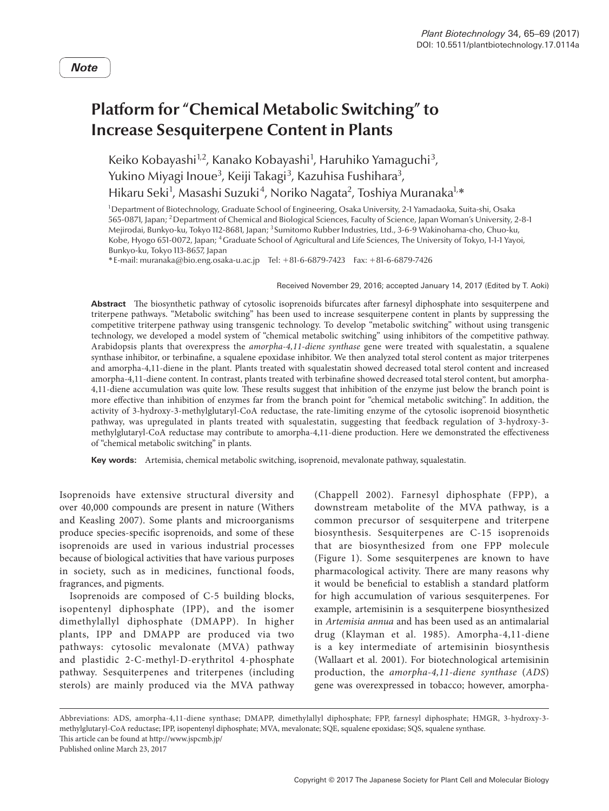## **Platform for "Chemical Metabolic Switching" to Increase Sesquiterpene Content in Plants**

Keiko Kobayashi<sup>1,2</sup>, Kanako Kobayashi<sup>1</sup>, Haruhiko Yamaguchi<sup>3</sup>, Yukino Miyagi Inoue<sup>3</sup>, Keiji Takagi<sup>3</sup>, Kazuhisa Fushihara<sup>3</sup>, Hikaru Seki<sup>1</sup>, Masashi Suzuki<sup>4</sup>, Noriko Nagata<sup>2</sup>, Toshiya Muranaka<sup>1,</sup>\*

1 Department of Biotechnology, Graduate School of Engineering, Osaka University, 2-1 Yamadaoka, Suita-shi, Osaka 565-0871, Japan; 2Department of Chemical and Biological Sciences, Faculty of Science, Japan Woman's University, 2-8-1 Mejirodai, Bunkyo-ku, Tokyo 112-8681, Japan; <sup>3</sup> Sumitomo Rubber Industries, Ltd., 3-6-9 Wakinohama-cho, Chuo-ku, Kobe, Hyogo 651-0072, Japan; 4Graduate School of Agricultural and Life Sciences, The University of Tokyo, 1-1-1 Yayoi, Bunkyo-ku, Tokyo 113-8657, Japan

\*E-mail: muranaka@bio.eng.osaka-u.ac.jp Tel: +81-6-6879-7423 Fax: +81-6-6879-7426

Received November 29, 2016; accepted January 14, 2017 (Edited by T. Aoki)

**Abstract** The biosynthetic pathway of cytosolic isoprenoids bifurcates after farnesyl diphosphate into sesquiterpene and triterpene pathways. "Metabolic switching" has been used to increase sesquiterpene content in plants by suppressing the competitive triterpene pathway using transgenic technology. To develop "metabolic switching" without using transgenic technology, we developed a model system of "chemical metabolic switching" using inhibitors of the competitive pathway. Arabidopsis plants that overexpress the *amorpha-4,11-diene synthase* gene were treated with squalestatin, a squalene synthase inhibitor, or terbinafine, a squalene epoxidase inhibitor. We then analyzed total sterol content as major triterpenes and amorpha-4,11-diene in the plant. Plants treated with squalestatin showed decreased total sterol content and increased amorpha-4,11-diene content. In contrast, plants treated with terbinafine showed decreased total sterol content, but amorpha-4,11-diene accumulation was quite low. These results suggest that inhibition of the enzyme just below the branch point is more effective than inhibition of enzymes far from the branch point for "chemical metabolic switching". In addition, the activity of 3-hydroxy-3-methylglutaryl-CoA reductase, the rate-limiting enzyme of the cytosolic isoprenoid biosynthetic pathway, was upregulated in plants treated with squalestatin, suggesting that feedback regulation of 3-hydroxy-3 methylglutaryl-CoA reductase may contribute to amorpha-4,11-diene production. Here we demonstrated the effectiveness of "chemical metabolic switching" in plants.

**Key words:** Artemisia, chemical metabolic switching, isoprenoid, mevalonate pathway, squalestatin.

Isoprenoids have extensive structural diversity and over 40,000 compounds are present in nature (Withers and Keasling 2007). Some plants and microorganisms produce species-specific isoprenoids, and some of these isoprenoids are used in various industrial processes because of biological activities that have various purposes in society, such as in medicines, functional foods, fragrances, and pigments.

Isoprenoids are composed of C-5 building blocks, isopentenyl diphosphate (IPP), and the isomer dimethylallyl diphosphate (DMAPP). In higher plants, IPP and DMAPP are produced via two pathways: cytosolic mevalonate (MVA) pathway and plastidic 2-C-methyl-D-erythritol 4-phosphate pathway. Sesquiterpenes and triterpenes (including sterols) are mainly produced via the MVA pathway (Chappell 2002). Farnesyl diphosphate (FPP), a downstream metabolite of the MVA pathway, is a common precursor of sesquiterpene and triterpene biosynthesis. Sesquiterpenes are C-15 isoprenoids that are biosynthesized from one FPP molecule (Figure 1). Some sesquiterpenes are known to have pharmacological activity. There are many reasons why it would be beneficial to establish a standard platform for high accumulation of various sesquiterpenes. For example, artemisinin is a sesquiterpene biosynthesized in *Artemisia annua* and has been used as an antimalarial drug (Klayman et al. 1985). Amorpha-4,11-diene is a key intermediate of artemisinin biosynthesis (Wallaart et al. 2001). For biotechnological artemisinin production, the *amorpha-4,11-diene synthase* (*ADS*) gene was overexpressed in tobacco; however, amorpha-

Abbreviations: ADS, amorpha-4,11-diene synthase; DMAPP, dimethylallyl diphosphate; FPP, farnesyl diphosphate; HMGR, 3-hydroxy-3 methylglutaryl-CoA reductase; IPP, isopentenyl diphosphate; MVA, mevalonate; SQE, squalene epoxidase; SQS, squalene synthase. This article can be found at http://www.jspcmb.jp/ Published online March 23, 2017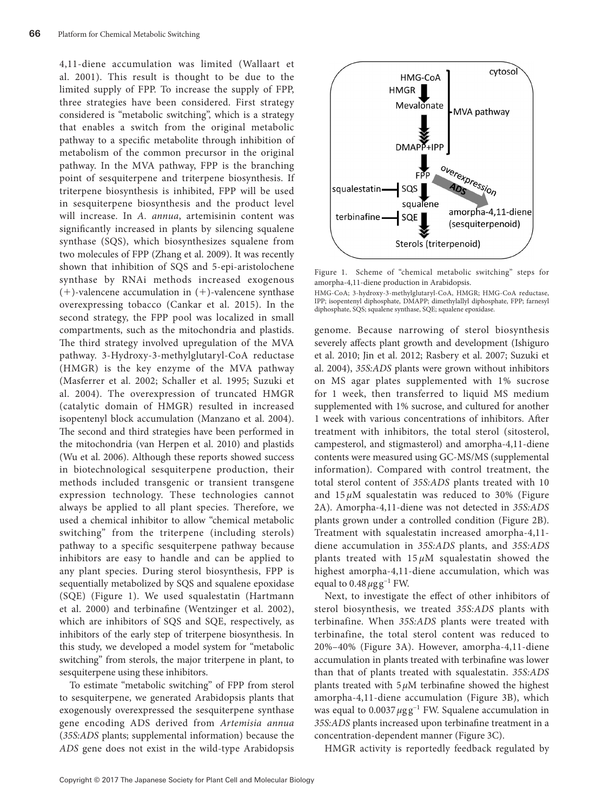4,11-diene accumulation was limited (Wallaart et al. 2001). This result is thought to be due to the limited supply of FPP. To increase the supply of FPP, three strategies have been considered. First strategy considered is "metabolic switching", which is a strategy that enables a switch from the original metabolic pathway to a specific metabolite through inhibition of metabolism of the common precursor in the original pathway. In the MVA pathway, FPP is the branching point of sesquiterpene and triterpene biosynthesis. If triterpene biosynthesis is inhibited, FPP will be used in sesquiterpene biosynthesis and the product level will increase. In *A. annua*, artemisinin content was significantly increased in plants by silencing squalene synthase (SQS), which biosynthesizes squalene from two molecules of FPP (Zhang et al. 2009). It was recently shown that inhibition of SQS and 5-epi-aristolochene synthase by RNAi methods increased exogenous  $(+)$ -valencene accumulation in  $(+)$ -valencene synthase overexpressing tobacco (Cankar et al. 2015). In the second strategy, the FPP pool was localized in small compartments, such as the mitochondria and plastids. The third strategy involved upregulation of the MVA pathway. 3-Hydroxy-3-methylglutaryl-CoA reductase (HMGR) is the key enzyme of the MVA pathway (Masferrer et al. 2002; Schaller et al. 1995; Suzuki et al. 2004). The overexpression of truncated HMGR (catalytic domain of HMGR) resulted in increased isopentenyl block accumulation (Manzano et al. 2004). The second and third strategies have been performed in the mitochondria (van Herpen et al. 2010) and plastids (Wu et al. 2006). Although these reports showed success in biotechnological sesquiterpene production, their methods included transgenic or transient transgene expression technology. These technologies cannot always be applied to all plant species. Therefore, we used a chemical inhibitor to allow "chemical metabolic switching" from the triterpene (including sterols) pathway to a specific sesquiterpene pathway because inhibitors are easy to handle and can be applied to any plant species. During sterol biosynthesis, FPP is sequentially metabolized by SQS and squalene epoxidase (SQE) (Figure 1). We used squalestatin (Hartmann et al. 2000) and terbinafine (Wentzinger et al. 2002), which are inhibitors of SQS and SQE, respectively, as inhibitors of the early step of triterpene biosynthesis. In this study, we developed a model system for "metabolic switching" from sterols, the major triterpene in plant, to sesquiterpene using these inhibitors.

To estimate "metabolic switching" of FPP from sterol to sesquiterpene, we generated Arabidopsis plants that exogenously overexpressed the sesquiterpene synthase gene encoding ADS derived from *Artemisia annua* (*35S:ADS* plants; supplemental information) because the *ADS* gene does not exist in the wild-type Arabidopsis



Figure 1. Scheme of "chemical metabolic switching" steps for amorpha-4,11-diene production in Arabidopsis.

HMG-CoA; 3-hydroxy-3-methylglutaryl-CoA, HMGR; HMG-CoA reductase, IPP; isopentenyl diphosphate, DMAPP; dimethylallyl diphosphate, FPP; farnesyl diphosphate, SQS; squalene synthase, SQE; squalene epoxidase.

genome. Because narrowing of sterol biosynthesis severely affects plant growth and development (Ishiguro et al. 2010; Jin et al. 2012; Rasbery et al. 2007; Suzuki et al. 2004), *35S:ADS* plants were grown without inhibitors on MS agar plates supplemented with 1% sucrose for 1 week, then transferred to liquid MS medium supplemented with 1% sucrose, and cultured for another 1 week with various concentrations of inhibitors. After treatment with inhibitors, the total sterol (sitosterol, campesterol, and stigmasterol) and amorpha-4,11-diene contents were measured using GC-MS/MS (supplemental information). Compared with control treatment, the total sterol content of *35S:ADS* plants treated with 10 and  $15 \mu$ M squalestatin was reduced to 30% (Figure 2A). Amorpha-4,11-diene was not detected in *35S:ADS* plants grown under a controlled condition (Figure 2B). Treatment with squalestatin increased amorpha-4,11 diene accumulation in *35S:ADS* plants, and *35S:ADS* plants treated with 15 *µ*M squalestatin showed the highest amorpha-4,11-diene accumulation, which was equal to  $0.48 \mu$ g g<sup>-1</sup> FW.

Next, to investigate the effect of other inhibitors of sterol biosynthesis, we treated *35S:ADS* plants with terbinafine. When *35S:ADS* plants were treated with terbinafine, the total sterol content was reduced to 20%–40% (Figure 3A). However, amorpha-4,11-diene accumulation in plants treated with terbinafine was lower than that of plants treated with squalestatin. *35S:ADS* plants treated with  $5 \mu M$  terbinafine showed the highest amorpha-4,11-diene accumulation (Figure 3B), which was equal to 0.0037*µ*g g−1 FW. Squalene accumulation in *35S:ADS* plants increased upon terbinafine treatment in a concentration-dependent manner (Figure 3C).

HMGR activity is reportedly feedback regulated by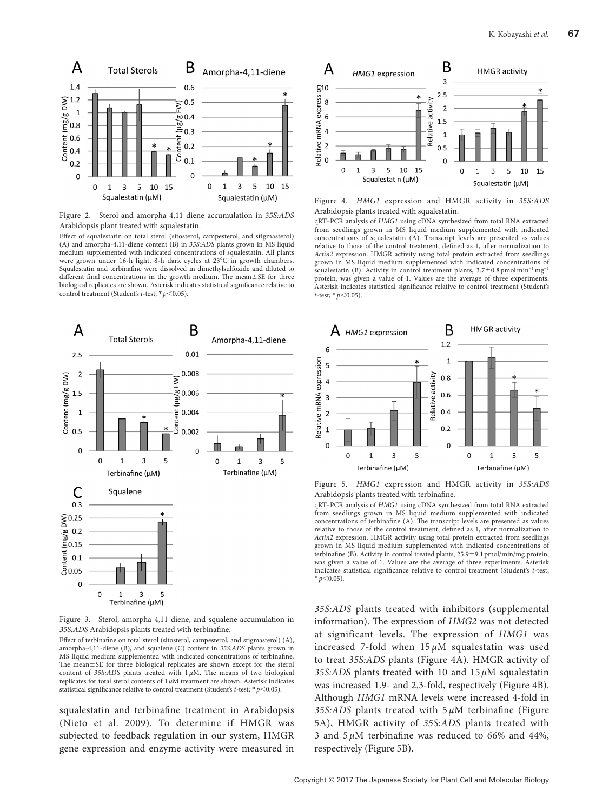

Figure 2. Sterol and amorpha-4,11-diene accumulation in *35S:ADS* Arabidopsis plant treated with squalestatin.

Effect of squalestatin on total sterol (sitosterol, campesterol, and stigmasterol) (A) and amorpha-4,11-diene content (B) in *35S:ADS* plants grown in MS liquid medium supplemented with indicated concentrations of squalestatin. All plants were grown under 16-h light, 8-h dark cycles at 23°C in growth chambers. Squalestatin and terbinafine were dissolved in dimethylsulfoxide and diluted to different final concentrations in the growth medium. The mean±SE for three biological replicates are shown. Asterisk indicates statistical significance relative to control treatment (Student's *t*-test; \* *p*<0.05).



Figure 3. Sterol, amorpha-4,11-diene, and squalene accumulation in *35S:ADS* Arabidopsis plants treated with terbinafine.

Effect of terbinafine on total sterol (sitosterol, campesterol, and stigmasterol) (A), amorpha-4,11-diene (B), and squalene (C) content in *35S:ADS* plants grown in MS liquid medium supplemented with indicated concentrations of terbinafine. The mean±SE for three biological replicates are shown except for the sterol content of  $35S:ADS$  plants treated with  $1 \mu M$ . The means of two biological replicates for total sterol contents of 1*µ*M treatment are shown. Asterisk indicates statistical significance relative to control treatment (Student's *t*-test; \**p*<0.05).

squalestatin and terbinafine treatment in Arabidopsis (Nieto et al. 2009). To determine if HMGR was subjected to feedback regulation in our system, HMGR gene expression and enzyme activity were measured in



Figure 4. *HMG1* expression and HMGR activity in *35S:ADS* Arabidopsis plants treated with squalestatin.

qRT–PCR analysis of *HMG1* using cDNA synthesized from total RNA extracted from seedlings grown in MS liquid medium supplemented with indicated concentrations of squalestatin  $(A)$ . Transcript levels are presented as values relative to those of the control treatment, defined as 1, after normalization to *Actin2* expression. HMGR activity using total protein extracted from seedlings grown in MS liquid medium supplemented with indicated concentrations of squalestatin (B). Activity in control treatment plants, 3.7±0.8 pmol min−1 mg−1 protein, was given a value of 1. Values are the average of three experiments. Asterisk indicates statistical significance relative to control treatment (Student's *t*-test; \**p*<0.05).



Figure 5. *HMG1* expression and HMGR activity in *35S:ADS* Arabidopsis plants treated with terbinafine.

qRT–PCR analysis of *HMG1* using cDNA synthesized from total RNA extracted from seedlings grown in MS liquid medium supplemented with indicated concentrations of terbinafine (A). The transcript levels are presented as values relative to those of the control treatment, defined as 1, after normalization to *Actin2* expression. HMGR activity using total protein extracted from seedlings grown in MS liquid medium supplemented with indicated concentrations of terbinafine (B). Activity in control treated plants,  $25.9 \pm 9.1$  pmol/min/mg protein, was given a value of 1. Values are the average of three experiments. Asterisk indicates statistical significance relative to control treatment (Student's *t*-test;  $* p < 0.05$ ).

*35S:ADS* plants treated with inhibitors (supplemental information). The expression of *HMG2* was not detected at significant levels. The expression of *HMG1* was increased 7-fold when  $15 \mu M$  squalestatin was used to treat *35S:ADS* plants (Figure 4A). HMGR activity of *35S:ADS* plants treated with 10 and 15 *µ*M squalestatin was increased 1.9- and 2.3-fold, respectively (Figure 4B). Although *HMG1* mRNA levels were increased 4-fold in *35S:ADS* plants treated with 5 *µ*M terbinafine (Figure 5A), HMGR activity of *35S:ADS* plants treated with 3 and  $5 \mu$ M terbinafine was reduced to 66% and 44%, respectively (Figure 5B).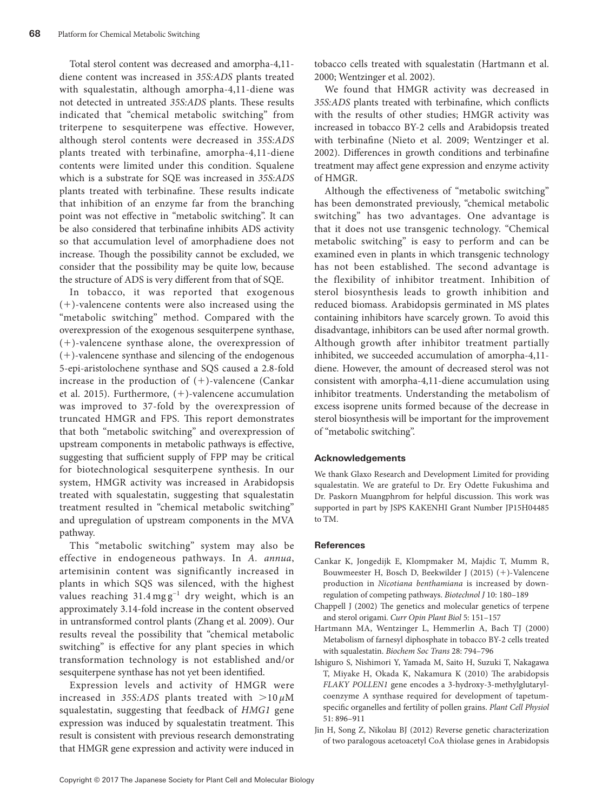Total sterol content was decreased and amorpha-4,11 diene content was increased in *35S:ADS* plants treated with squalestatin, although amorpha-4,11-diene was not detected in untreated *35S:ADS* plants. These results indicated that "chemical metabolic switching" from triterpene to sesquiterpene was effective. However, although sterol contents were decreased in *35S:ADS* plants treated with terbinafine, amorpha-4,11-diene contents were limited under this condition. Squalene which is a substrate for SQE was increased in *35S:ADS* plants treated with terbinafine. These results indicate that inhibition of an enzyme far from the branching point was not effective in "metabolic switching". It can be also considered that terbinafine inhibits ADS activity so that accumulation level of amorphadiene does not increase. Though the possibility cannot be excluded, we consider that the possibility may be quite low, because the structure of ADS is very different from that of SQE.

In tobacco, it was reported that exogenous (+)-valencene contents were also increased using the "metabolic switching" method. Compared with the overexpression of the exogenous sesquiterpene synthase, (+)-valencene synthase alone, the overexpression of (+)-valencene synthase and silencing of the endogenous 5-epi-aristolochene synthase and SQS caused a 2.8-fold increase in the production of  $(+)$ -valencene (Cankar et al. 2015). Furthermore, (+)-valencene accumulation was improved to 37-fold by the overexpression of truncated HMGR and FPS. This report demonstrates that both "metabolic switching" and overexpression of upstream components in metabolic pathways is effective, suggesting that sufficient supply of FPP may be critical for biotechnological sesquiterpene synthesis. In our system, HMGR activity was increased in Arabidopsis treated with squalestatin, suggesting that squalestatin treatment resulted in "chemical metabolic switching" and upregulation of upstream components in the MVA pathway.

This "metabolic switching" system may also be effective in endogeneous pathways. In *A. annua*, artemisinin content was significantly increased in plants in which SQS was silenced, with the highest values reaching  $31.4 \text{ mg g}^{-1}$  dry weight, which is an approximately 3.14-fold increase in the content observed in untransformed control plants (Zhang et al. 2009). Our results reveal the possibility that "chemical metabolic switching" is effective for any plant species in which transformation technology is not established and/or sesquiterpene synthase has not yet been identified.

Expression levels and activity of HMGR were increased in 35S:ADS plants treated with  $>10 \mu M$ squalestatin, suggesting that feedback of *HMG1* gene expression was induced by squalestatin treatment. This result is consistent with previous research demonstrating that HMGR gene expression and activity were induced in tobacco cells treated with squalestatin (Hartmann et al. 2000; Wentzinger et al. 2002).

We found that HMGR activity was decreased in *35S:ADS* plants treated with terbinafine, which conflicts with the results of other studies; HMGR activity was increased in tobacco BY-2 cells and Arabidopsis treated with terbinafine (Nieto et al. 2009; Wentzinger et al. 2002). Differences in growth conditions and terbinafine treatment may affect gene expression and enzyme activity of HMGR.

Although the effectiveness of "metabolic switching" has been demonstrated previously, "chemical metabolic switching" has two advantages. One advantage is that it does not use transgenic technology. "Chemical metabolic switching" is easy to perform and can be examined even in plants in which transgenic technology has not been established. The second advantage is the flexibility of inhibitor treatment. Inhibition of sterol biosynthesis leads to growth inhibition and reduced biomass. Arabidopsis germinated in MS plates containing inhibitors have scarcely grown. To avoid this disadvantage, inhibitors can be used after normal growth. Although growth after inhibitor treatment partially inhibited, we succeeded accumulation of amorpha-4,11 diene. However, the amount of decreased sterol was not consistent with amorpha-4,11-diene accumulation using inhibitor treatments. Understanding the metabolism of excess isoprene units formed because of the decrease in sterol biosynthesis will be important for the improvement of "metabolic switching".

## **Acknowledgements**

We thank Glaxo Research and Development Limited for providing squalestatin. We are grateful to Dr. Ery Odette Fukushima and Dr. Paskorn Muangphrom for helpful discussion. This work was supported in part by JSPS KAKENHI Grant Number JP15H04485 to TM.

## **References**

- [Cankar K, Jongedijk E, Klompmaker M, Majdic T, Mumm R,](http://dx.doi.org/10.1002/biot.201400288) [Bouwmeester H, Bosch D, Beekwilder J \(2015\) \(](http://dx.doi.org/10.1002/biot.201400288)+)-Valencene production in *Nicotiana benthamiana* [is increased by down](http://dx.doi.org/10.1002/biot.201400288)[regulation of competing pathways.](http://dx.doi.org/10.1002/biot.201400288) *Biotechnol J* 10: 180–189
- [Chappell J \(2002\) The genetics and molecular genetics of terpene](http://dx.doi.org/10.1016/S1369-5266(02)00241-8) and sterol origami. *[Curr Opin Plant Biol](http://dx.doi.org/10.1016/S1369-5266(02)00241-8)* 5: 151–157
- [Hartmann MA, Wentzinger L, Hemmerlin A, Bach TJ \(2000\)](http://dx.doi.org/10.1042/bst0280794) [Metabolism of farnesyl diphosphate in tobacco BY-2 cells treated](http://dx.doi.org/10.1042/bst0280794) with squalestatin. *[Biochem Soc Trans](http://dx.doi.org/10.1042/bst0280794)* 28: 794–796
- [Ishiguro S, Nishimori Y, Yamada M, Saito H, Suzuki T, Nakagawa](http://dx.doi.org/10.1093/pcp/pcq068) [T, Miyake H, Okada K, Nakamura K \(2010\) The arabidopsis](http://dx.doi.org/10.1093/pcp/pcq068) *FLAKY POLLEN1* [gene encodes a 3-hydroxy-3-methylglutaryl](http://dx.doi.org/10.1093/pcp/pcq068)[coenzyme A synthase required for development of tapetum](http://dx.doi.org/10.1093/pcp/pcq068)[specific organelles and fertility of pollen grains.](http://dx.doi.org/10.1093/pcp/pcq068) *Plant Cell Physiol* [51: 896–911](http://dx.doi.org/10.1093/pcp/pcq068)
- [Jin H, Song Z, Nikolau BJ \(2012\) Reverse genetic characterization](http://dx.doi.org/10.1111/j.1365-313X.2012.04942.x) [of two paralogous acetoacetyl CoA thiolase genes in Arabidopsis](http://dx.doi.org/10.1111/j.1365-313X.2012.04942.x)